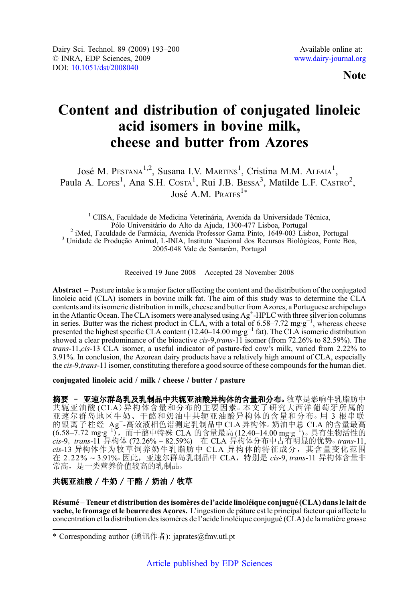# Content and distribution of conjugated linoleic acid isomers in bovine milk, cheese and butter from Azores

José M. P $est$ nan $1, 2$ , Susana I.V. Martins<sup>1</sup>, Cristina M.M. Alfaia<sup>1</sup>, Paula A. Lopes<sup>1</sup>, Ana S.H. Costa<sup>1</sup>, Rui J.B. Bessa<sup>3</sup>, Matilde L.F. Castro<sup>2</sup>, José A.M. PRATES $^{1*}$ 

<sup>1</sup> CIISA, Faculdade de Medicina Veterinária, Avenida da Universidade Técnica, Pólo Universitário do Alto da Ajuda, 1300-477 Lisboa, Portugal <sup>2</sup> iMed, Faculdade de Farmácia, Avenida Professor Gama Pinto, 1649-003 Lisboa, Portugal<br><sup>3</sup> Unidade de Produção Animal, L-INIA, Instituto Nacional dos Recursos Biológicos, Fonte Boa, 2005-048 Vale de Santarém, Portugal

Received 19 June 2008 – Accepted 28 November 2008

Abstract – Pasture intake is a major factor affecting the content and the distribution of the conjugated linoleic acid (CLA) isomers in bovine milk fat. The aim of this study was to determine the CLA contents and its isomeric distribution in milk, cheese and butter from Azores, a Portuguese archipelago in the Atlantic Ocean. The CLA isomers were analysed using Ag<sup>+</sup>-HPLC with three silver ion columns in series. Butter was the richest product in CLA, with a total of 6.58–7.72 mg·g<sup>-1</sup>, whereas cheese presented the highest specific CLA content (12.40–14.00 mg·g<sup>-1</sup> fat). The CLA isomeric distribution showed a clear predominance of the bioactive *cis-9,trans-11* isomer (from 72.26% to 82.59%). The *trans-11 cis-13* CLA isomer, a useful indicator of pasture-fed cow's milk, varied from 2.22% to *trans*-11,*cis*-13 CLA isomer, a useful indicator of pasture-fed cow's milk, varied from 2.22% to 3.91%. In conclusion, the Azorean dairy products have a relatively high amount of CLA, especially 3.91%. In conclusion, the Azorean dairy products have a relatively high amount of CLA, especially the cis-9,trans-11 isomer, constituting therefore a good source of these compounds for the human diet.

conjugated linoleic acid / milk / cheese / butter / pasture

摘要 - 亚速尔群岛乳及乳制品中共轭亚油酸异构体的含量和分布。牧草是影响牛乳脂肪中 共轭亚油酸 (CLA) 异构体含量和分布的主要因素。本文了研究大西洋葡萄牙所属的 亚速尔群岛地区牛奶、干酪和奶油中共轭亚油酸异构体的含量和分布○ 用 3 根串联 的银离子柱经 Ag<sup>+</sup>-高效液相色谱测定乳制品中 CLA 异构体。奶油中总 CLA 的含量最高<br>(6.58–7.72 mg·g<sup>−1</sup>),而干酪中特殊 CLA 的含量最高(12.40–14.00 mg·g<sup>−1</sup>)。具有生物活性的 cis-9, trans-11 异构体 (72.26% ~ 82.59%) 在 CLA 异构体分布中占有明显的优势。trans-11,<br>cis-13 异构体作为牧草饲养奶牛乳脂肪中 CLA 异构体的特征成分,其含量变化范围 cis-13 异构体作为牧草饲养奶牛乳脂肪中 CLA 异构体的特征成分, 其含量变化范围 在 2.22% ~ 3.91%。因此, 亚速尔群岛乳制品中 CLA, 特别是 cis-9, trans-11 异构体含量非 常高,是一类营养价值较高的乳制品。

## 共轭亚油酸 / 牛奶 / 干酪 / 奶油 / 牧草

Résumé –Teneur et distribution des isomères de l'acide linoléique conjugué (CLA) dans le lait de vache, le fromage et le beurre des Açores. L'ingestion de pâture est le principal facteur qui affecte la concentration et la distribution des isomères de l'acide linoléique conjugué (CLA) de la matière grasse

<sup>\*</sup> Corresponding author (通讯作者): japrates@fmv.utl.pt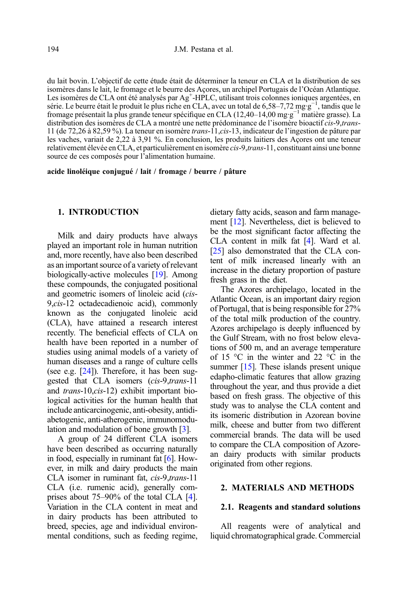du lait bovin. L'objectif de cette étude était de déterminer la teneur en CLA et la distribution de ses isomères dans le lait, le fromage et le beurre des Açores, un archipel Portugais de l'Océan Atlantique. Les isomères de CLA ont été analysés par Ag<sup>+</sup>-HPLC, utilisant trois colonnes ioniques argentées, en série. Le beurre était le produit le plus riche en CLA, avec un total de 6,58–7,72 mg·g<sup>−1</sup>, tandis que le fromage présentait la plus grande teneur spécifique en CLA (12,40–14,00 mg·g<sup>−1</sup> matière grasse). La distribution des isomères de CLA a montré une nette prédominance de l'isomère bioactif *cis-9,trans-*11 (de 72,26 à 82,59 %). La teneur en isomère *trans*-11, *cis*-13, indicateur de l'ingestion de pâture par 11 (de 72,26 à 82,59 %). La teneur en isomère trans-11,cis-13, indicateur de l'ingestion de pâture par les vaches, variait de 2,22 à 3,91 %. En conclusion, les produits laitiers des Açores ont une teneur relativement élevée en CLA, et particulièrement en isomère cis-9,trans-11, constituant ainsi une bonne source de ces composés pour l'alimentation humaine.

acide linoléique conjugué / lait / fromage / beurre / pâture

## 1. INTRODUCTION

Milk and dairy products have always played an important role in human nutrition and, more recently, have also been described as an important source of a variety of relevant biologically-active molecules [[19](#page-7-0)]. Among these compounds, the conjugated positional and geometric isomers of linoleic acid (cis-9,cis-12 octadecadienoic acid), commonly known as the conjugated linoleic acid (CLA), have attained a research interest recently. The beneficial effects of CLA on health have been reported in a number of studies using animal models of a variety of human diseases and a range of culture cells (see e.g. [\[24\]](#page-7-0)). Therefore, it has been suggested that CLA isomers (cis-9,trans-11 and trans-10,cis-12) exhibit important biological activities for the human health that include anticarcinogenic, anti-obesity, antidiabetogenic, anti-atherogenic, immunomodulation and modulation of bone growth [[3\]](#page-6-0).

A group of 24 different CLA isomers have been described as occurring naturally in food, especially in ruminant fat [\[6](#page-6-0)]. However, in milk and dairy products the main CLA isomer in ruminant fat, cis-9,trans-11 CLA (i.e. rumenic acid), generally comprises about 75–90% of the total CLA [\[4\]](#page-6-0). Variation in the CLA content in meat and in dairy products has been attributed to breed, species, age and individual environmental conditions, such as feeding regime, dietary fatty acids, season and farm management [\[12\]](#page-6-0). Nevertheless, diet is believed to be the most significant factor affecting the CLA content in milk fat [[4](#page-6-0)]. Ward et al. [[25](#page-7-0)] also demonstrated that the CLA content of milk increased linearly with an increase in the dietary proportion of pasture fresh grass in the diet.

The Azores archipelago, located in the Atlantic Ocean, is an important dairy region of Portugal, that is being responsible for 27% of the total milk production of the country. Azores archipelago is deeply influenced by the Gulf Stream, with no frost below elevations of 500 m, and an average temperature of 15 °C in the winter and 22 °C in the summer [\[15\]](#page-6-0). These islands present unique edapho-climatic features that allow grazing throughout the year, and thus provide a diet based on fresh grass. The objective of this study was to analyse the CLA content and its isomeric distribution in Azorean bovine milk, cheese and butter from two different commercial brands. The data will be used to compare the CLA composition of Azorean dairy products with similar products originated from other regions.

## 2. MATERIALS AND METHODS

#### 2.1. Reagents and standard solutions

All reagents were of analytical and liquid chromatographical grade. Commercial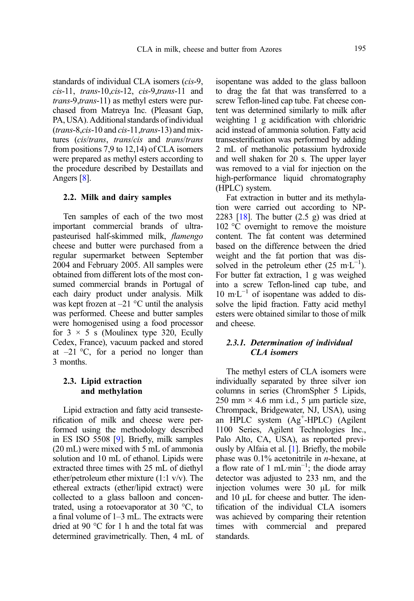standards of individual CLA isomers (*cis*-9,<br>*cis*-11, *trans*-10,*cis*-12, *cis-9,trans*-11 and cis-11, trans-10,cis-12, cis-9,trans-11 and<br>trans-9,trans-11) as methyl esters were purtrans-9,trans-11) as methyl esters were purchased from Matreya Inc. (Pleasant Gap, PA, USA). Additional standards of individual  $(trans-8, cis-10$  and  $cis-11, trans-13$  and mix-<br>tures  $(cis/trans. trans/cis$  and *trans/trans* tures (*cis/trans, trans/cis* and *trans/trans* from positions 7.9 to 12.14) of CLA isomers from positions 7,9 to 12,14) of CLA isomers were prepared as methyl esters according to the procedure described by Destaillats and Angers [[8\]](#page-6-0).

#### 2.2. Milk and dairy samples

Ten samples of each of the two most important commercial brands of ultrapasteurised half-skimmed milk, flamengo cheese and butter were purchased from a regular supermarket between September 2004 and February 2005. All samples were obtained from different lots of the most consumed commercial brands in Portugal of each dairy product under analysis. Milk was kept frozen at  $-21$  °C until the analysis was performed. Cheese and butter samples were homogenised using a food processor for  $3 \times 5$  s (Moulinex type 320, Ecully Cedex, France), vacuum packed and stored at  $-21$  °C, for a period no longer than 3 months.

## 2.3. Lipid extraction and methylation

Lipid extraction and fatty acid transesterification of milk and cheese were performed using the methodology described in ES ISO 5508 [\[9](#page-6-0)]. Briefly, milk samples (20 mL) were mixed with 5 mL of ammonia solution and 10 mL of ethanol. Lipids were extracted three times with 25 mL of diethyl ether/petroleum ether mixture (1:1 v/v). The ethereal extracts (ether/lipid extract) were collected to a glass balloon and concentrated, using a rotoevaporator at  $30^{\circ}$ C, to a final volume of 1–3 mL. The extracts were dried at 90 °C for 1 h and the total fat was determined gravimetrically. Then, 4 mL of isopentane was added to the glass balloon to drag the fat that was transferred to a screw Teflon-lined cap tube. Fat cheese content was determined similarly to milk after weighting 1 g acidification with chloridric acid instead of ammonia solution. Fatty acid transesterification was performed by adding 2 mL of methanolic potassium hydroxide and well shaken for 20 s. The upper layer was removed to a vial for injection on the high-performance liquid chromatography (HPLC) system.

Fat extraction in butter and its methylation were carried out according to NP-2283  $[18]$ . The butter  $(2.5 \text{ g})$  was dried at 102 °C overnight to remove the moisture content. The fat content was determined based on the difference between the dried weight and the fat portion that was dissolved in the petroleum ether  $(25 \text{ m} \cdot \text{L}^{-1})$ . For butter fat extraction, 1 g was weighed into a screw Teflon-lined cap tube, and  $10 \text{ m} \cdot \text{L}^{-1}$  of isopentane was added to dissolve the lipid fraction. Fatty acid methyl esters were obtained similar to those of milk and cheese.

## 2.3.1. Determination of individual CLA isomers

The methyl esters of CLA isomers were individually separated by three silver ion columns in series (ChromSpher 5 Lipids, 250 mm  $\times$  4.6 mm i.d., 5 µm particle size, Chrompack, Bridgewater, NJ, USA), using an HPLC system (Ag<sup>+</sup>-HPLC) (Agilent 1100 Series, Agilent Technologies Inc., Palo Alto, CA, USA), as reported previously by Alfaia et al. [\[1](#page-6-0)]. Briefly, the mobile phase was  $0.1\%$  acetonitrile in *n*-hexane, at a flow rate of 1 mL·min<sup>-1</sup>; the diode array detector was adjusted to 233 nm, and the injection volumes were 30 μL for milk and 10 μL for cheese and butter. The identification of the individual CLA isomers was achieved by comparing their retention times with commercial and prepared standards.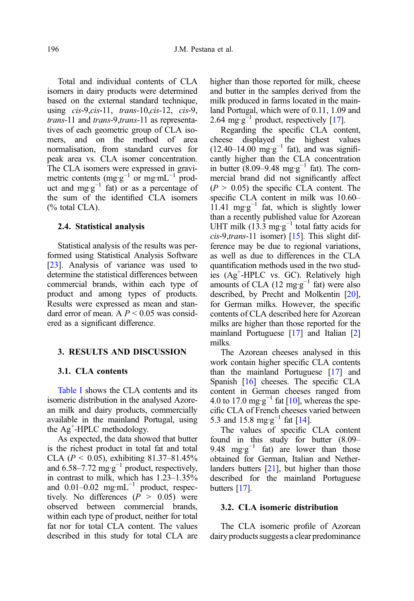Total and individual contents of CLA isomers in dairy products were determined based on the external standard technique, using cis-9,cis-11, trans-10,cis-12, cis-9, trans-11 and trans-9.trans-11 as representatrans-11 and trans-9,trans-11 as representa-<br>tives of each geometric group of CLA isomers, and on the method of area normalisation, from standard curves for peak area vs. CLA isomer concentration. The CLA isomers were expressed in gravimetric contents (mg·g<sup>-1</sup> or mg·mL<sup>-1</sup> product and mg·g<sup>-1</sup> fat) or as a percentage of the sum of the identified CLA isomers (% total CLA).

#### 2.4. Statistical analysis

Statistical analysis of the results was performed using Statistical Analysis Software [\[23](#page-7-0)]. Analysis of variance was used to determine the statistical differences between commercial brands, within each type of product and among types of products. Results were expressed as mean and standard error of mean. A  $P \le 0.05$  was considered as a significant difference.

### 3. RESULTS AND DISCUSSION

#### 3.1. CLA contents

[Table I](#page-4-0) shows the CLA contents and its isomeric distribution in the analysed Azorean milk and dairy products, commercially available in the mainland Portugal, using the Ag<sup>+</sup>-HPLC methodology.

As expected, the data showed that butter is the richest product in total fat and total CLA ( $P < 0.05$ ), exhibiting 81.37–81.45%<br>and 6.58–7.72 mg·g<sup>-1</sup> product, respectively, in contrast to milk, which has 1.23–1.35% and  $0.01-0.02$  mg·mL<sup>-1</sup> product, respectively. No differences  $(P > 0.05)$  were observed between commercial brands, within each type of product, neither for total fat nor for total CLA content. The values described in this study for total CLA are

higher than those reported for milk, cheese and butter in the samples derived from the milk produced in farms located in the mainland Portugal, which were of 0.11, 1.09 and 2.64 mg·g $^{-1}$  product, respectively [[17](#page-6-0)].

Regarding the specific CLA content, cheese displayed the highest values  $(12.40-14.00 \text{ mg} \cdot \text{g}^{-1} \text{ fat})$ , and was significantly higher than the CLA concentration in butter (8.09–9.48 mg·g<sup>-1</sup> fat). The commercial brand did not significantly affect  $(P > 0.05)$  the specific CLA content. The specific CLA content in milk was 10.60– 11.41 mg·g<sup>-1</sup> fat, which is slightly lower than a recently published value for Azorean UHT milk  $(13.3 \text{ mg} \cdot \text{g}^{-1})$  total fatty acids for  $cis$ -9,trans-11 isomer) [[15\]](#page-6-0). This slight difference may be due to regional variations, as well as due to differences in the CLA quantification methods used in the two studies (Ag+ -HPLC vs. GC). Relatively high amounts of CLA (12 mg·g<sup>-1</sup> fat) were also described, by Precht and Molkentin [\[20](#page-7-0)], for German milks. However, the specific contents of CLA described here for Azorean milks are higher than those reported for the mainland Portuguese [[17](#page-6-0)] and Italian [[2](#page-6-0)] milks.

The Azorean cheeses analysed in this work contain higher specific CLA contents than the mainland Portuguese [\[17\]](#page-6-0) and Spanish [[16](#page-6-0)] cheeses. The specific CLA content in German cheeses ranged from 4.0 to 17.0 mg·g<sup>-1</sup> fat [\[10\]](#page-6-0), whereas the specific CLA of French cheeses varied between 5.3 and 15.8 mg·g−<sup>1</sup> fat [\[14\]](#page-6-0).

The values of specific CLA content found in this study for butter (8.09– 9.48 mg·g<sup>-1</sup> fat) are lower than those obtained for German, Italian and Nether-landers butters [\[21\]](#page-7-0), but higher than those described for the mainland Portuguese butters [[17](#page-6-0)].

#### 3.2. CLA isomeric distribution

The CLA isomeric profile of Azorean dairy products suggests a clear predominance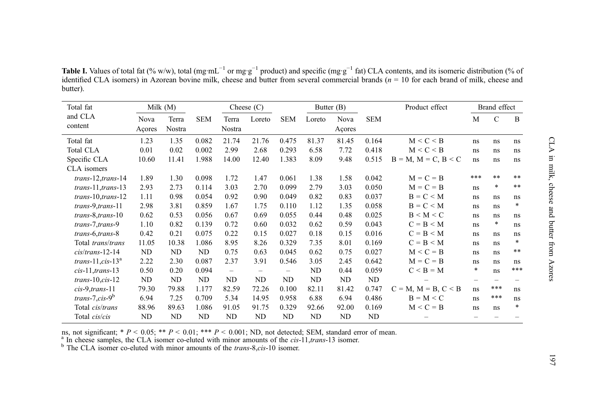| Total fat            | Milk $(M)$ |        |            | Cheese $(C)$             |        |                          | Butter (B) |        |            | Product effect              | Brand effect      |              |        |
|----------------------|------------|--------|------------|--------------------------|--------|--------------------------|------------|--------|------------|-----------------------------|-------------------|--------------|--------|
| and CLA<br>content   | Nova       | Terra  | <b>SEM</b> | Terra                    | Loreto | <b>SEM</b>               | Loreto     | Nova   | <b>SEM</b> |                             | M                 | $\mathsf{C}$ | B      |
|                      | Açores     | Nostra |            | Nostra                   |        |                          |            | Açores |            |                             |                   |              |        |
| Total fat            | 1.23       | 1.35   | 0.082      | 21.74                    | 21.76  | 0.475                    | 81.37      | 81.45  | 0.164      | M < C < B                   | ns                | ns           | ns     |
| <b>Total CLA</b>     | 0.01       | 0.02   | 0.002      | 2.99                     | 2.68   | 0.293                    | 6.58       | 7.72   | 0.418      | M < C < B                   | ns                | ns           | ns     |
| Specific CLA         | 10.60      | 11.41  | 1.988      | 14.00                    | 12.40  | 1.383                    | 8.09       | 9.48   | 0.515      | $B = M$ , $M = C$ , $B < C$ | ns                | ns           | ns     |
| CLA isomers          |            |        |            |                          |        |                          |            |        |            |                             |                   |              |        |
| trans-12, trans-14   | 1.89       | 1.30   | 0.098      | 1.72                     | 1.47   | 0.061                    | 1.38       | 1.58   | 0.042      | $M = C = B$                 | ***               | $**$         | **     |
| $trans-11, trans-13$ | 2.93       | 2.73   | 0.114      | 3.03                     | 2.70   | 0.099                    | 2.79       | 3.03   | 0.050      | $M = C = B$                 | ns                | $\ast$       | $* *$  |
| $trans-10, trans-12$ | 1.11       | 0.98   | 0.054      | 0.92                     | 0.90   | 0.049                    | 0.82       | 0.83   | 0.037      | $B = C < M$                 | ns                | ns           | ns     |
| trans-9, trans-11    | 2.98       | 3.81   | 0.859      | 1.67                     | 1.75   | 0.110                    | 1.12       | 1.35   | 0.058      | $B = C < M$                 | ns                | ns           | $\ast$ |
| trans-8, trans-10    | 0.62       | 0.53   | 0.056      | 0.67                     | 0.69   | 0.055                    | 0.44       | 0.48   | 0.025      | $B \leq M \leq C$           | ns                | ns           | ns     |
| trans-7, trans-9     | 1.10       | 0.82   | 0.139      | 0.72                     | 0.60   | 0.032                    | 0.62       | 0.59   | 0.043      | $C = B < M$                 | ns                | $\ast$       | ns     |
| trans-6, trans-8     | 0.42       | 0.21   | 0.075      | 0.22                     | 0.15   | 0.027                    | 0.18       | 0.15   | 0.016      | $C = B < M$                 | ns                | ns           | ns     |
| Total trans/trans    | 11.05      | 10.38  | 1.086      | 8.95                     | 8.26   | 0.329                    | 7.35       | 8.01   | 0.169      | $C = B < M$                 | ns                | ns           | $\ast$ |
| $cis/trans-12-14$    | ND         | ND     | ND         | 0.75                     | 0.63   | 0.045                    | 0.62       | 0.75   | 0.027      | $M < C = B$                 | ns                | ns           | $***$  |
| trans-11, $cis-13^a$ | 2.22       | 2.30   | 0.087      | 2.37                     | 3.91   | 0.546                    | 3.05       | 2.45   | 0.642      | $M = C = B$                 | ns                | ns           | ns     |
| $cis-11, trans-13$   | 0.50       | 0.20   | 0.094      | $\overline{\phantom{0}}$ |        | $\overline{\phantom{0}}$ | ND         | 0.44   | 0.059      | $C < B = M$                 | $\ast$            | ns           | ***    |
| $trans-10, cis-12$   | ND         | ND     | ND         | ND                       | ND     | ND                       | ND         | ND     | ND         |                             | $\qquad \qquad -$ |              |        |
| $cis-9, trans-11$    | 79.30      | 79.88  | 1.177      | 82.59                    | 72.26  | 0.100                    | 82.11      | 81.42  | 0.747      | $C = M$ , $M = B$ , $C < B$ | ns                | ***          | ns     |
| trans-7,cis- $9^b$   | 6.94       | 7.25   | 0.709      | 5.34                     | 14.95  | 0.958                    | 6.88       | 6.94   | 0.486      | $B = M < C$                 | ns                | ***          | ns     |
| Total cis/trans      | 88.96      | 89.63  | 1.086      | 91.05                    | 91.75  | 0.329                    | 92.66      | 92.00  | 0.169      | $M < C = B$                 | ns                | ns           | $\ast$ |
| Total cis/cis        | ND         | ND     | ND         | ND                       | ND     | ND                       | ND         | ND     | ND         |                             |                   |              |        |

<span id="page-4-0"></span>**Table I.** Values of total fat (% w/w), total (mg·mL<sup>-1</sup> or mg·g<sup>-1</sup> product) and specific (mg·g<sup>-1</sup> fat) CLA contents, and its isomeric distribution (% of identified CLA isomers) in Azorean bovine milk, cheese and butter from several commercial brands  $(n = 10)$  for each brand of milk, cheese and butter).

ns, not significant; \*  $P < 0.05$ ; \*\*  $P < 0.01$ ; \*\*\*  $P < 0.001$ ; ND, not detected; SEM, standard error of mean.<br><sup>a</sup> In cheese samples, the CLA isomer co-eluted with minor amounts of the *cis*-11,*trans*-13 isomer.<br><sup>b</sup> The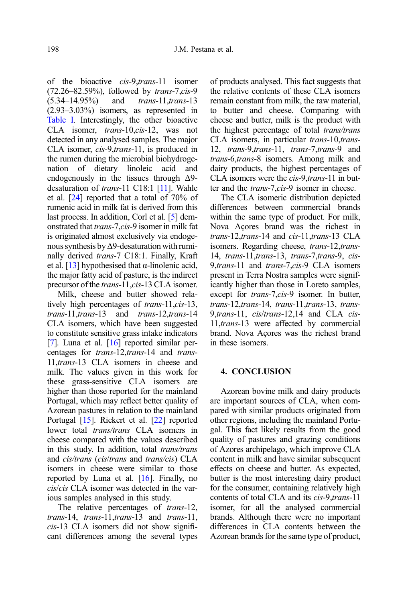of the bioactive *cis-9,trans-11* isomer  $(72.26-82.59%)$  followed by *trans-7.cis-9*  $(72.26-82.59%)$ , followed by *trans-7,cis-9*<br> $(5.34-14.95%)$  and *trans-11 trans-13*  $(5.34-14.95%)$  and *trans*-11,*trans*-13<br> $(2.93-3.03%)$  isomers, as represented in [Table I.](#page-4-0) Interestingly, the other bioactive<br>CLA isomer. trans-10.cis-12. was not CLA isomer, *trans*-10,*cis*-12, was not detected in any analysed samples. The major CLA isomer, cis-9,trans-11, is produced in the rumen during the microbial biohydrogenation of dietary linoleic acid and endogenously in the tissues through Δ9- desaturation of trans-11 C18:1 [[11\]](#page-6-0). Wahle et al. [[24](#page-7-0)] reported that a total of 70% of rumenic acid in milk fat is derived from this last process. In addition, Corl et al. [\[5\]](#page-6-0) demonstrated that trans-7,cis-9 isomer in milk fat is originated almost exclusively via endogenous synthesis byΔ9-desaturation with ruminally derived *trans*-7 C18:1. Finally, Kraft et al. [\[13\]](#page-6-0) hypothesised that α-linolenic acid, the major fatty acid of pasture, is the indirect precursor of the trans-11, cis-13 CLA isomer.

Milk, cheese and butter showed relatively high percentages of *trans-11,cis-13*, trans-11, trans-13 and trans-12, trans-14 CLA isomers, which have been suggested to constitute sensitive grass intake indicators [\[7](#page-6-0)]. Luna et al.  $[16]$  $[16]$  $[16]$  reported similar percentages for *trans*-12,*trans*-14 and *trans*-11 cLA isomers in cheese and 11,*trans*-13 CLA isomers in cheese and<br>milk The values given in this work for milk. The values given in this work for these grass-sensitive CLA isomers are higher than those reported for the mainland Portugal, which may reflect better quality of Azorean pastures in relation to the mainland Portugal [\[15](#page-6-0)]. Rickert et al. [\[22\]](#page-7-0) reported lower total *trans/trans* CLA isomers in lower total *trans/trans* CLA isomers in cheese compared with the values described in this study. In addition, total  $trans/trans$  and  $cis/trans$  ( $cis/trans$ ) CLA and *cis/trans* (*cis/trans* and *trans/cis*) CLA isomers in cheese were similar to those reported by Luna et al. [\[16](#page-6-0)]. Finally, no cis/cis CLA isomer was detected in the various samples analysed in this study.

The relative percentages of *trans-12*, trans-14, trans-11, trans-13 and trans-11, cis-13 CLA isomers did not show significant differences among the several types of products analysed. This fact suggests that the relative contents of these CLA isomers remain constant from milk, the raw material, to butter and cheese. Comparing with cheese and butter, milk is the product with the highest percentage of total trans/trans CLA isomers, in particular trans-10, trans-12, *trans-9,trans-11, trans-7,trans-9* and *trans-6,trans-8* isomers. Among milk and trans-6,trans-8 isomers. Among milk and dairy products, the highest percentages of CLA isomers were the *cis-9,trans-*11 in but-<br>ter and the *trans-7,cis-9* isomer in cheese. ter and the *trans-7,cis-9* isomer in cheese.<br>The CLA isomeric distribution depicte

The CLA isomeric distribution depicted differences between commercial brands within the same type of product. For milk, Nova Açores brand was the richest in *trans*-12,*trans*-14 and *cis*-11,*trans*-13 CLA trans-12, trans-14 and cis-11, trans-13 CLA<br>isomers. Regarding cheese. trans-12, transisomers. Regarding cheese, trans-12, trans-<br>14. trans-11, trans-13, trans-7, trans-9, cis-14, trans-11, trans-13, trans-7, trans-9, cis-<br>9. trans-11 and trans-7 cis-9 CLA isomers 9,*trans*-11 and *trans-7,cis-*9 CLA isomers<br>present in Terra Nostra samples were signifpresent in Terra Nostra samples were significantly higher than those in Loreto samples, except for trans-7,cis-9 isomer. In butter, trans-12, trans-14, trans-11, trans-13, transtrans-12,trans-14, trans-11,trans-13, trans-<br>9.trans-11, cis/trans-12,14 and CLA cis-9,*trans*-11, *cis/trans*-12,14 and CLA *cis-*<br>11*trans*-13 were affected by commercial 11,trans-13 were affected by commercial brand. Nova Açores was the richest brand in these isomers.

## 4. CONCLUSION

Azorean bovine milk and dairy products are important sources of CLA, when compared with similar products originated from other regions, including the mainland Portugal. This fact likely results from the good quality of pastures and grazing conditions of Azores archipelago, which improve CLA content in milk and have similar subsequent effects on cheese and butter. As expected, butter is the most interesting dairy product for the consumer, containing relatively high contents of total CLA and its cis-9,trans-11 isomer, for all the analysed commercial brands. Although there were no important differences in CLA contents between the Azorean brands for the same type of product,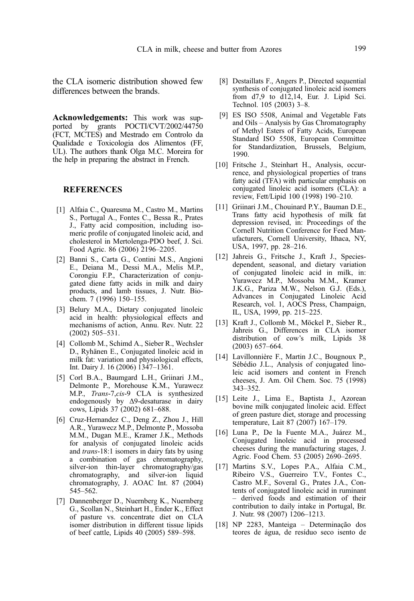<span id="page-6-0"></span>the CLA isomeric distribution showed few differences between the brands.

Acknowledgements: This work was supported by grants POCTI/CVT/2002/44750 (FCT, MCTES) and Mestrado em Controlo da Qualidade e Toxicologia dos Alimentos (FF, UL). The authors thank Olga M.C. Moreira for the help in preparing the abstract in French.

#### REFERENCES

- [1] Alfaia C., Quaresma M., Castro M., Martins S., Portugal A., Fontes C., Bessa R., Prates J., Fatty acid composition, including isomeric profile of conjugated linoleic acid, and cholesterol in Mertolenga-PDO beef, J. Sci. Food Agric. 86 (2006) 2196–2205.
- [2] Banni S., Carta G., Contini M.S., Angioni E., Deiana M., Dessi M.A., Melis M.P., Corongiu F.P., Characterization of conjugated diene fatty acids in milk and dairy products, and lamb tissues, J. Nutr. Biochem. 7 (1996) 150–155.
- [3] Belury M.A., Dietary conjugated linoleic acid in health: physiological effects and mechanisms of action, Annu. Rev. Nutr. 22 (2002) 505–531.
- [4] Collomb M., Schimd A., Sieber R., Wechsler D., Ryhänen E., Conjugated linoleic acid in milk fat: variation and physiological effects, Int. Dairy J. 16 (2006) 1347–1361.
- [5] Corl B.A., Baumgard L.H., Griinari J.M., Delmonte P., Morehouse K.M., Yurawecz M.P., Trans-7,cis-9 CLA is synthesized endogenously by Δ9-desaturase in dairy cows, Lipids 37 (2002) 681–688.
- [6] Cruz-Hernandez C., Deng Z., Zhou J., Hill A.R., Yurawecz M.P., Delmonte P., Mossoba M.M., Dugan M.E., Kramer J.K., Methods for analysis of conjugated linoleic acids and trans-18:1 isomers in dairy fats by using a combination of gas chromatography, silver-ion thin-layer chromatography/gas chromatography, and silver-ion liquid chromatography, J. AOAC Int. 87 (2004) 545–562.
- [7] Dannenberger D., Nuernberg K., Nuernberg G., Scollan N., Steinhart H., Ender K., Effect of pasture vs. concentrate diet on CLA isomer distribution in different tissue lipids of beef cattle, Lipids 40 (2005) 589–598.
- [8] Destaillats F., Angers P., Directed sequential synthesis of conjugated linoleic acid isomers from d7,9 to d12,14, Eur. J. Lipid Sci. Technol. 105 (2003) 3–8.
- [9] ES ISO 5508, Animal and Vegetable Fats and Oils – Analysis by Gas Chromatography of Methyl Esters of Fatty Acids, European Standard ISO 5508, European Committee for Standardization, Brussels, Belgium, 1990.
- [10] Fritsche J., Steinhart H., Analysis, occurrence, and physiological properties of trans fatty acid (TFA) with particular emphasis on conjugated linoleic acid isomers (CLA): a review, Fett/Lipid 100 (1998) 190–210.
- [11] Griinari J.M., Chouinard P.Y., Bauman D.E., Trans fatty acid hypothesis of milk fat depression revised, in: Proceedings of the Cornell Nutrition Conference for Feed Manufacturers, Cornell University, Ithaca, NY, USA, 1997, pp. 28–216.
- [12] Jahreis G., Fritsche J., Kraft J., Speciesdependent, seasonal, and dietary variation of conjugated linoleic acid in milk, in: Yurawecz M.P., Mossoba M.M., Kramer J.K.G., Pariza M.W., Nelson G.J. (Eds.), Advances in Conjugated Linoleic Acid Research, vol. 1, AOCS Press, Champaign, IL, USA, 1999, pp. 215–225.
- [13] Kraft J., Collomb M., Möckel P., Sieber R., Jahreis G., Differences in CLA isomer distribution of cow's milk, Lipids 38 (2003) 657–664.
- [14] Lavillonnière F., Martin J.C., Bougnoux P., Sébédio J.L., Analysis of conjugated linoleic acid isomers and content in French cheeses, J. Am. Oil Chem. Soc. 75 (1998) 343–352.
- [15] Leite J., Lima E., Baptista J., Azorean bovine milk conjugated linoleic acid. Effect of green pasture diet, storage and processing temperature, Lait 87 (2007) 167–179.
- [16] Luna P., De la Fuente M.A., Juárez M., Conjugated linoleic acid in processed cheeses during the manufacturing stages, J. Agric. Food Chem. 53 (2005) 2690–2695.
- [17] Martins S.V., Lopes P.A., Alfaia C.M., Ribeiro V.S., Guerreiro T.V., Fontes C., Castro M.F., Soveral G., Prates J.A., Contents of conjugated linoleic acid in ruminant – derived foods and estimation of their contribution to daily intake in Portugal, Br. J. Nutr. 98 (2007) 1206–1213.
- [18] NP 2283, Manteiga Determinação dos teores de água, de resíduo seco isento de